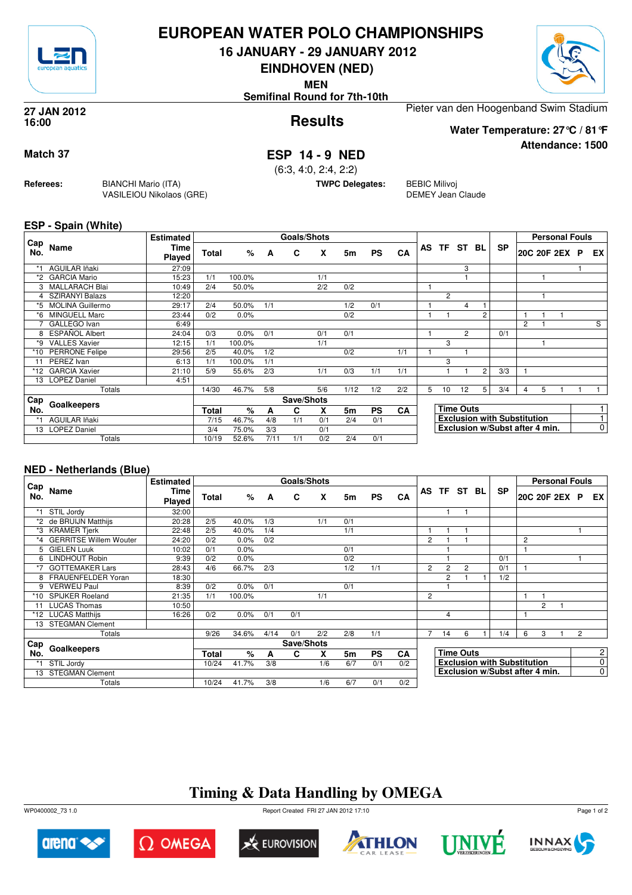

### **EUROPEAN WATER POLO CHAMPIONSHIPS**

**16 JANUARY - 29 JANUARY 2012**

**EINDHOVEN (NED)**

**MEN**

**Semifinal Round for 7th-10th**



**Attendance: 1500**

**Results 27 JAN 2012 16:00**

Pieter van den Hoogenband Swim Stadium

**Water Temperature: 27°C / 81°F**

### **Match 37 ESP 14 - 9 NED**

(6:3, 4:0, 2:4, 2:2)

**TWPC Delegates:** BEBIC Milivoj

DEMEY Jean Claude

**ESP - Spain (White)**

**Referees:** BIANCHI Mario (ITA)

VASILEIOU Nikolaos (GRE)

| Cap   |                         | <b>Estimated</b> |              |         |      | Goals/Shots |     |      |           |           |                                |                |                  |    |                                    |   |   | <b>Personal Fouls</b> |      |
|-------|-------------------------|------------------|--------------|---------|------|-------------|-----|------|-----------|-----------|--------------------------------|----------------|------------------|----|------------------------------------|---|---|-----------------------|------|
| No.   | Name                    | Time<br>Played   | <b>Total</b> | %       | A    | C           | X   | 5m   | <b>PS</b> | CA        |                                |                | AS TF ST         | BL | <b>SP</b>                          |   |   | 20C 20F 2EX P         | EX I |
| *1    | AGUILAR Iñaki           | 27:09            |              |         |      |             |     |      |           |           |                                |                | 3                |    |                                    |   |   |                       |      |
|       | *2 GARCIA Mario         | 15:23            | 1/1          | 100.0%  |      |             | 1/1 |      |           |           |                                |                |                  |    |                                    |   |   |                       |      |
| 3     | <b>MALLARACH Blai</b>   | 10:49            | 2/4          | 50.0%   |      |             | 2/2 | 0/2  |           |           |                                |                |                  |    |                                    |   |   |                       |      |
| 4     | <b>SZIRANYI Balazs</b>  | 12:20            |              |         |      |             |     |      |           |           |                                | $\overline{2}$ |                  |    |                                    |   |   |                       |      |
| *5    | <b>MOLINA Guillermo</b> | 29:17            | 2/4          | 50.0%   | 1/1  |             |     | 1/2  | 0/1       |           |                                |                | 4                |    |                                    |   |   |                       |      |
| *6    | <b>MINGUELL Marc</b>    | 23:44            | 0/2          | 0.0%    |      |             |     | 0/2  |           |           |                                |                |                  | 2  |                                    |   |   |                       |      |
|       | GALLEGO Ivan            | 6:49             |              |         |      |             |     |      |           |           |                                |                |                  |    |                                    | 2 |   |                       | S    |
| 8     | ESPAÑOL Albert          | 24:04            | 0/3          | $0.0\%$ | 0/1  |             | 0/1 | 0/1  |           |           |                                |                | 2                |    | 0/1                                |   |   |                       |      |
| *9    | <b>VALLES Xavier</b>    | 12:15            | 1/1          | 100.0%  |      |             | 1/1 |      |           |           |                                | 3              |                  |    |                                    |   |   |                       |      |
| $*10$ | <b>PERRONE Felipe</b>   | 29:56            | 2/5          | 40.0%   | 1/2  |             |     | 0/2  |           | 1/1       |                                |                |                  |    |                                    |   |   |                       |      |
| 11    | PEREZ Ivan              | 6:13             | 1/1          | 100.0%  | 1/1  |             |     |      |           |           |                                | 3              |                  |    |                                    |   |   |                       |      |
| *12   | <b>GARCIA Xavier</b>    | 21:10            | 5/9          | 55.6%   | 2/3  |             | 1/1 | 0/3  | 1/1       | 1/1       |                                |                |                  | 2  | 3/3                                |   |   |                       |      |
| 13    | <b>LOPEZ Daniel</b>     | 4:51             |              |         |      |             |     |      |           |           |                                |                |                  |    |                                    |   |   |                       |      |
|       | Totals                  |                  | 14/30        | 46.7%   | 5/8  |             | 5/6 | 1/12 | 1/2       | 2/2       | 5                              | 10             | 12               | 5  | 3/4                                | 4 | 5 |                       |      |
| Cap   |                         |                  |              |         |      | Save/Shots  |     |      |           |           |                                |                |                  |    |                                    |   |   |                       |      |
| No.   | Goalkeepers             |                  | Total        | %       | А    | C           | x   | 5m   | <b>PS</b> | <b>CA</b> |                                |                | <b>Time Outs</b> |    |                                    |   |   |                       |      |
| *1    | AGUILAR Iñaki           |                  | 7/15         | 46.7%   | 4/8  | 1/1         | 0/1 | 2/4  | 0/1       |           |                                |                |                  |    | <b>Exclusion with Substitution</b> |   |   |                       |      |
|       | 13 LOPEZ Daniel         |                  | 3/4          | 75.0%   | 3/3  |             | 0/1 |      |           |           | Exclusion w/Subst after 4 min. |                |                  |    |                                    |   |   | $\overline{0}$        |      |
|       | Totals                  |                  | 10/19        | 52.6%   | 7/11 | 1/1         | 0/2 | 2/4  | 0/1       |           |                                |                |                  |    |                                    |   |   |                       |      |

#### **NED - Netherlands (Blue)**

|            |                               | <b>Estimated</b>      |       |        |      | Goals/Shots |     |     |           |           |                                    |                  |             |  |                                |   | <b>Personal Fouls</b> |                |                |                |
|------------|-------------------------------|-----------------------|-------|--------|------|-------------|-----|-----|-----------|-----------|------------------------------------|------------------|-------------|--|--------------------------------|---|-----------------------|----------------|----------------|----------------|
| Cap<br>No. | Name                          | Time<br><b>Played</b> | Total | $\%$   | A    | C           | X   | 5m  | <b>PS</b> | CA        |                                    |                  | AS TF ST BL |  | <b>SP</b>                      |   | 20C 20F 2EX P         |                |                | EX I           |
|            | STIL Jordy                    | 32:00                 |       |        |      |             |     |     |           |           |                                    |                  |             |  |                                |   |                       |                |                |                |
|            | *2 de BRUIJN Matthijs         | 20:28                 | 2/5   | 40.0%  | 1/3  |             | 1/1 | 0/1 |           |           |                                    |                  |             |  |                                |   |                       |                |                |                |
|            | *3 KRAMER Tjerk               | 22:48                 | 2/5   | 40.0%  | 1/4  |             |     | 1/1 |           |           |                                    |                  |             |  |                                |   |                       |                |                |                |
| *4         | <b>GERRITSE Willem Wouter</b> | 24:20                 | 0/2   | 0.0%   | 0/2  |             |     |     |           |           | $\overline{2}$                     |                  |             |  |                                | 2 |                       |                |                |                |
| 5          | <b>GIELEN Luuk</b>            | 10:02                 | 0/1   | 0.0%   |      |             |     | 0/1 |           |           |                                    |                  |             |  |                                |   |                       |                |                |                |
| 6          | <b>LINDHOUT Robin</b>         | 9:39                  | 0/2   | 0.0%   |      |             |     | 0/2 |           |           |                                    |                  |             |  | 0/1                            |   |                       |                |                |                |
|            | <b>GOTTEMAKER Lars</b>        | 28:43                 | 4/6   | 66.7%  | 2/3  |             |     | 1/2 | 1/1       |           | 2                                  | $\overline{2}$   | 2           |  | 0/1                            |   |                       |                |                |                |
|            | 8 FRAUENFELDER Yoran          | 18:30                 |       |        |      |             |     |     |           |           |                                    | 2                |             |  | 1/2                            |   |                       |                |                |                |
| 9          | <b>VERWEIJ Paul</b>           | 8:39                  | 0/2   | 0.0%   | 0/1  |             |     | 0/1 |           |           |                                    |                  |             |  |                                |   |                       |                |                |                |
| *10        | <b>SPIJKER Roeland</b>        | 21:35                 | 1/1   | 100.0% |      |             | 1/1 |     |           |           | $\overline{2}$                     |                  |             |  |                                | 1 |                       |                |                |                |
| 11         | <b>LUCAS Thomas</b>           | 10:50                 |       |        |      |             |     |     |           |           |                                    |                  |             |  |                                |   | $\overline{2}$        |                |                |                |
|            | *12 LUCAS Matthijs            | 16:26                 | 0/2   | 0.0%   | 0/1  | 0/1         |     |     |           |           |                                    | $\overline{4}$   |             |  |                                | 1 |                       |                |                |                |
| 13         | <b>STEGMAN Clement</b>        |                       |       |        |      |             |     |     |           |           |                                    |                  |             |  |                                |   |                       |                |                |                |
|            | Totals                        |                       | 9/26  | 34.6%  | 4/14 | 0/1         | 2/2 | 2/8 | 1/1       |           |                                    | 14               | 6           |  | 1/4                            | 6 | 3                     |                | $\overline{2}$ |                |
| ⊦ Cap      |                               |                       |       |        |      | Save/Shots  |     |     |           |           |                                    |                  |             |  |                                |   |                       |                |                |                |
| No.        | Goalkeepers                   |                       | Total | $\%$   | A    | C           | X   | 5m  | <b>PS</b> | <b>CA</b> |                                    | <b>Time Outs</b> |             |  |                                |   |                       |                | $\mathbf{2}$   |                |
|            | STIL Jordy                    | 10/24                 | 41.7% | 3/8    |      | 1/6         | 6/7 | 0/1 | 0/2       |           | <b>Exclusion with Substitution</b> |                  |             |  |                                |   |                       | $\overline{0}$ |                |                |
|            | 13 STEGMAN Clement            |                       |       |        |      |             |     |     |           |           |                                    |                  |             |  | Exclusion w/Subst after 4 min. |   |                       |                |                | $\overline{0}$ |
|            | Totals                        |                       | 10/24 | 41.7%  | 3/8  |             | 1/6 | 6/7 | 0/1       | 0/2       |                                    |                  |             |  |                                |   |                       |                |                |                |

# **Timing & Data Handling by OMEGA**













Page 1 of 2

WP0400002\_73 1.0 Report Created FRI 27 JAN 2012 17:10